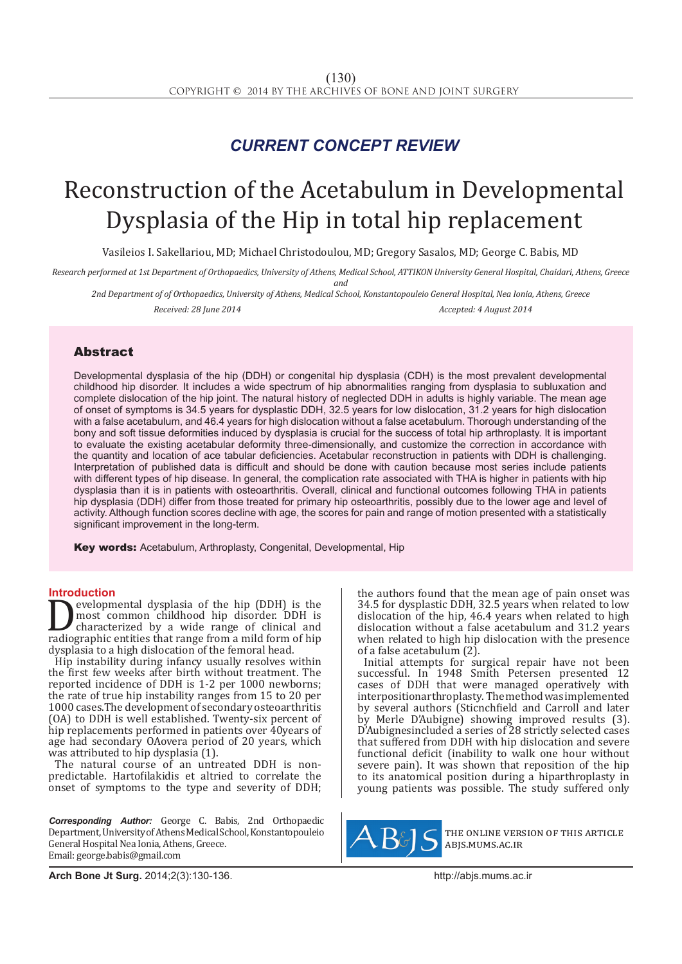### *CURRENT CONCEPT REVIEW*

## Reconstruction of the Acetabulum in Developmental Dysplasia of the Hip in total hip replacement

Vasileios I. Sakellariou, MD; Michael Christodoulou, MD; Gregory Sasalos, MD; George C. Babis, MD

*Research performed at 1st Department of Orthopaedics, University of Athens, Medical School, ATTIKON University General Hospital, Chaidari, Athens, Greece and*

*2nd Department of of Orthopaedics, University of Athens, Medical School, Konstantopouleio General Hospital, Nea Ionia, Athens, Greece Received: 28 June 2014 Accepted: 4 August 2014*

#### Abstract

Developmental dysplasia of the hip (DDH) or congenital hip dysplasia (CDH) is the most prevalent developmental childhood hip disorder. It includes a wide spectrum of hip abnormalities ranging from dysplasia to subluxation and complete dislocation of the hip joint. The natural history of neglected DDH in adults is highly variable. The mean age of onset of symptoms is 34.5 years for dysplastic DDH, 32.5 years for low dislocation, 31.2 years for high dislocation with a false acetabulum, and 46.4 years for high dislocation without a false acetabulum. Thorough understanding of the bony and soft tissue deformities induced by dysplasia is crucial for the success of total hip arthroplasty. It is important to evaluate the existing acetabular deformity three-dimensionally, and customize the correction in accordance with the quantity and location of ace tabular deficiencies. Acetabular reconstruction in patients with DDH is challenging. Interpretation of published data is difficult and should be done with caution because most series include patients with different types of hip disease. In general, the complication rate associated with THA is higher in patients with hip dysplasia than it is in patients with osteoarthritis. Overall, clinical and functional outcomes following THA in patients hip dysplasia (DDH) differ from those treated for primary hip osteoarthritis, possibly due to the lower age and level of activity. Although function scores decline with age, the scores for pain and range of motion presented with a statistically significant improvement in the long-term.

Key words: Acetabulum, Arthroplasty, Congenital, Developmental, Hip

**Introduction**<br>**The evelopmental dysplasia of the hip (DDH) is the Developmental dysplasia of the hip (DDH) is the**<br>most common childhood hip disorder. DDH is<br>characterized by a wide range of clinical and<br>radiographic entities that range from a mild form of hip<br>dysplasia to a high disloc most common childhood hip disorder. DDH is characterized by a wide range of clinical and radiographic entities that range from a mild form of hip dysplasia to a high dislocation of the femoral head.

Hip instability during infancy usually resolves within the first few weeks after birth without treatment. The reported incidence of DDH is 1-2 per 1000 newborns; the rate of true hip instability ranges from 15 to 20 per 1000 cases.The development of secondary osteoarthritis (OA) to DDH is well established. Twenty-six percent of hip replacements performed in patients over 40years of age had secondary OAovera period of 20 years, which was attributed to hip dysplasia (1).

The natural course of an untreated DDH is nonpredictable. Hartofilakidis et altried to correlate the onset of symptoms to the type and severity of DDH;

*Corresponding Author:* George C. Babis, 2nd Orthopaedic Department, University of Athens Medical School, Konstantopouleio General Hospital Nea Ionia, Athens, Greece. Email: george.babis@gmail.com

the authors found that the mean age of pain onset was 34.5 for dysplastic DDH, 32.5 years when related to low dislocation of the hip, 46.4 years when related to high dislocation without a false acetabulum and 31.2 years when related to high hip dislocation with the presence of a false acetabulum (2).

Initial attempts for surgical repair have not been successful. In 1948 Smith Petersen presented 12 cases of DDH that were managed operatively with interpositionarthroplasty. The method was implemented by several authors (Sticnchfield and Carroll and later by Merle D'Aubigne) showing improved results (3). D'Aubignesincluded a series of 28 strictly selected cases that suffered from DDH with hip dislocation and severe functional deficit (inability to walk one hour without severe pain). It was shown that reposition of the hip to its anatomical position during a hiparthroplasty in young patients was possible. The study suffered only



the online version of this article abjs.mums.ac.ir

**Arch Bone Jt Surg.** 2014;2(3):130-136.http://abjs.mums.ac.ir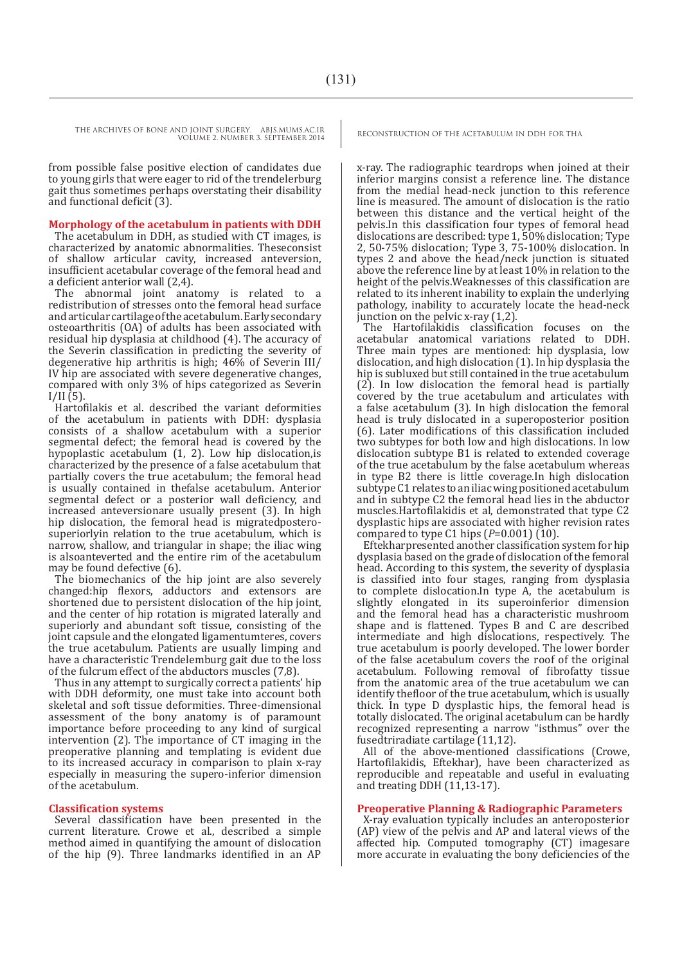from possible false positive election of candidates due to young girls that were eager to rid of the trendelerburg gait thus sometimes perhaps overstating their disability and functional deficit (3).

#### **Morphology of the acetabulum in patients with DDH**

The acetabulum in DDH, as studied with CT images, is characterized by anatomic abnormalities. Theseconsist of shallow articular cavity, increased anteversion, insufficient acetabular coverage of the femoral head and a deficient anterior wall (2,4).

The abnormal joint anatomy is related to a redistribution of stresses onto the femoral head surface and articular cartilage of the acetabulum. Early secondary osteoarthritis (OA) of adults has been associated with residual hip dysplasia at childhood (4). The accuracy of the Severin classification in predicting the severity of degenerative hip arthritis is high; 46% of Severin III/ IV hip are associated with severe degenerative changes, compared with only 3% of hips categorized as Severin  $I/II(5)$ .

Hartofilakis et al. described the variant deformities of the acetabulum in patients with DDH: dysplasia consists of a shallow acetabulum with a superior segmental defect; the femoral head is covered by the hypoplastic acetabulum (1, 2). Low hip dislocation,is characterized by the presence of a false acetabulum that partially covers the true acetabulum; the femoral head is usually contained in thefalse acetabulum. Anterior segmental defect or a posterior wall deficiency, and increased anteversionare usually present (3). In high hip dislocation, the femoral head is migratedposterosuperiorlyin relation to the true acetabulum, which is narrow, shallow, and triangular in shape; the iliac wing is alsoanteverted and the entire rim of the acetabulum may be found defective (6).

The biomechanics of the hip joint are also severely changed:hip flexors, adductors and extensors are shortened due to persistent dislocation of the hip joint, and the center of hip rotation is migrated laterally and superiorly and abundant soft tissue, consisting of the joint capsule and the elongated ligamentumteres, covers the true acetabulum. Patients are usually limping and have a characteristic Trendelemburg gait due to the loss of the fulcrum effect of the abductors muscles (7,8).

Thus in any attempt to surgically correct a patients' hip with DDH deformity, one must take into account both skeletal and soft tissue deformities. Three-dimensional assessment of the bony anatomy is of paramount importance before proceeding to any kind of surgical intervention (2). The importance of CT imaging in the preoperative planning and templating is evident due to its increased accuracy in comparison to plain x-ray especially in measuring the supero-inferior dimension of the acetabulum.

#### **Classification systems**

Several classification have been presented in the current literature. Crowe et al., described a simple method aimed in quantifying the amount of dislocation of the hip (9). Three landmarks identified in an AP

x-ray. The radiographic teardrops when joined at their inferior margins consist a reference line. The distance from the medial head-neck junction to this reference line is measured. The amount of dislocation is the ratio between this distance and the vertical height of the pelvis.In this classification four types of femoral head dislocations are described: type 1, 50% dislocation; Type 2, 50-75% dislocation; Type 3, 75-100% dislocation. In types 2 and above the head/neck junction is situated above the reference line by at least 10% in relation to the height of the pelvis.Weaknesses of this classification are related to its inherent inability to explain the underlying pathology, inability to accurately locate the head-neck junction on the pelvic x-ray (1,2).

The Hartofilakidis classification focuses on the acetabular anatomical variations related to DDH. Three main types are mentioned: hip dysplasia, low dislocation, and high dislocation (1). In hip dysplasia the hip is subluxed but still contained in the true acetabulum (2). In low dislocation the femoral head is partially covered by the true acetabulum and articulates with a false acetabulum (3). In high dislocation the femoral head is truly dislocated in a superoposterior position (6). Later modifications of this classification included two subtypes for both low and high dislocations. In low dislocation subtype B1 is related to extended coverage of the true acetabulum by the false acetabulum whereas in type B2 there is little coverage.In high dislocation subtype C1 relates to an iliac wing positioned acetabulum and in subtype C2 the femoral head lies in the abductor muscles.Hartofilakidis et al, demonstrated that type C2 dysplastic hips are associated with higher revision rates compared to type C1 hips  $(P=0.001)$  (10).

Eftekharpresented another classification system for hip dysplasia based on the grade of dislocation of the femoral head. According to this system, the severity of dysplasia is classified into four stages, ranging from dysplasia to complete dislocation.In type A, the acetabulum is slightly elongated in its superoinferior dimension and the femoral head has a characteristic mushroom shape and is flattened. Types B and C are described intermediate and high dislocations, respectively. The true acetabulum is poorly developed. The lower border of the false acetabulum covers the roof of the original acetabulum. Following removal of fibrofatty tissue from the anatomic area of the true acetabulum we can identify thefloor of the true acetabulum, which is usually thick. In type D dysplastic hips, the femoral head is totally dislocated. The original acetabulum can be hardly recognized representing a narrow "isthmus" over the fusedtriradiate cartilage (11,12).

All of the above-mentioned classifications (Crowe, Hartofilakidis, Eftekhar), have been characterized as reproducible and repeatable and useful in evaluating and treating DDH (11,13-17).

#### **Preoperative Planning & Radiographic Parameters**

X-ray evaluation typically includes an anteroposterior (AP) view of the pelvis and AP and lateral views of the affected hip. Computed tomography (CT) imagesare more accurate in evaluating the bony deficiencies of the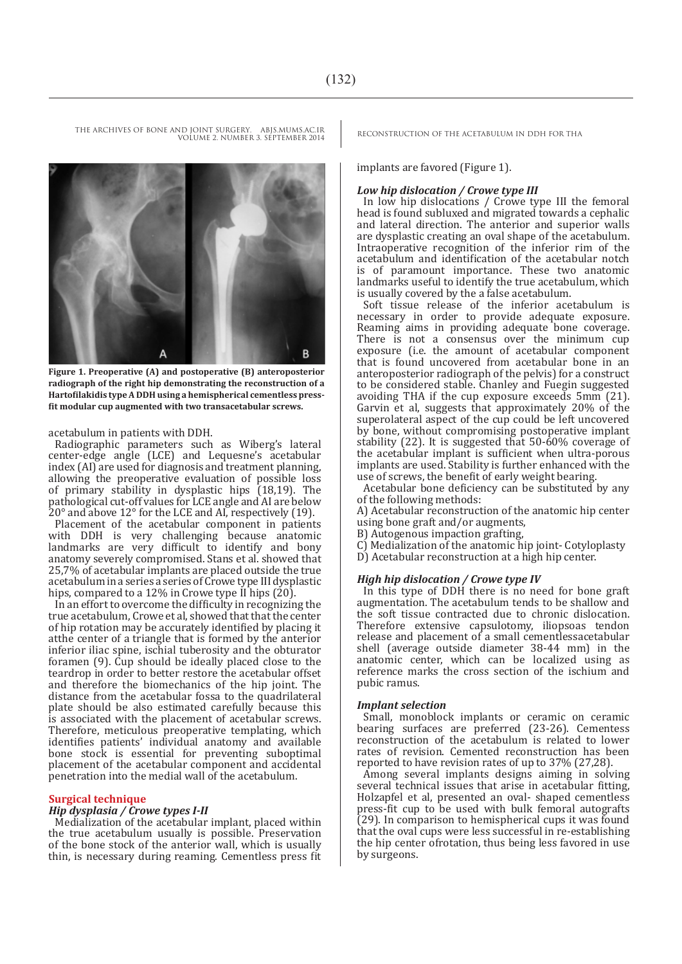# Α B **Figure 1. Preoperative (A) and postoperative (B) anteroposterior**

**radiograph of the right hip demonstrating the reconstruction of a Hartofilakidis type A DDH using a hemispherical cementless pressfit modular cup augmented with two transacetabular screws.** 

acetabulum in patients with DDH.

Radiographic parameters such as Wiberg's lateral center-edge angle (LCE) and Lequesne's acetabular index (AI) are used for diagnosis and treatment planning, allowing the preoperative evaluation of possible loss of primary stability in dysplastic hips (18,19). The pathological cut-off values for LCE angle and AI are below 20° and above 12° for the LCE and AI, respectively (19).

Placement of the acetabular component in patients with DDH is very challenging because anatomic landmarks are very difficult to identify and bony anatomy severely compromised. Stans et al. showed that 25,7% of acetabular implants are placed outside the true acetabulum in a series a series of Crowe type III dysplastic hips, compared to a 12% in Crowe type II hips  $(20)$ .

In an effort to overcome the difficulty in recognizing the true acetabulum, Crowe et al, showed that that the center of hip rotation may be accurately identified by placing it atthe center of a triangle that is formed by the anterior inferior iliac spine, ischial tuberosity and the obturator foramen (9). Cup should be ideally placed close to the teardrop in order to better restore the acetabular offset and therefore the biomechanics of the hip joint. The distance from the acetabular fossa to the quadrilateral plate should be also estimated carefully because this is associated with the placement of acetabular screws. Therefore, meticulous preoperative templating, which identifies patients' individual anatomy and available bone stock is essential for preventing suboptimal placement of the acetabular component and accidental penetration into the medial wall of the acetabulum.

#### **Surgical technique**

#### *Hip dysplasia / Crowe types I-II*

Medialization of the acetabular implant, placed within the true acetabulum usually is possible. Preservation of the bone stock of the anterior wall, which is usually thin, is necessary during reaming. Cementless press fit

implants are favored (Figure 1).

#### *Low hip dislocation / Crowe type III*

In low hip dislocations / Crowe type III the femoral head is found subluxed and migrated towards a cephalic and lateral direction. The anterior and superior walls are dysplastic creating an oval shape of the acetabulum. Intraoperative recognition of the inferior rim of the acetabulum and identification of the acetabular notch is of paramount importance. These two anatomic landmarks useful to identify the true acetabulum, which is usually covered by the a false acetabulum.

Soft tissue release of the inferior acetabulum is necessary in order to provide adequate exposure. Reaming aims in providing adequate bone coverage. There is not a consensus over the minimum cup exposure (i.e. the amount of acetabular component that is found uncovered from acetabular bone in an anteroposterior radiograph of the pelvis) for a construct to be considered stable. Chanley and Fuegin suggested avoiding THA if the cup exposure exceeds 5mm (21). Garvin et al, suggests that approximately 20% of the superolateral aspect of the cup could be left uncovered by bone, without compromising postoperative implant stability (22). It is suggested that 50-60% coverage of the acetabular implant is sufficient when ultra-porous implants are used. Stability is further enhanced with the use of screws, the benefit of early weight bearing.

Acetabular bone deficiency can be substituted by any of the following methods:

A) Acetabular reconstruction of the anatomic hip center using bone graft and/or augments,

B) Autogenous impaction grafting,

C) Medialization of the anatomic hip joint- Cotyloplasty

D) Acetabular reconstruction at a high hip center.

#### *High hip dislocation / Crowe type IV*

In this type of DDH there is no need for bone graft augmentation. The acetabulum tends to be shallow and the soft tissue contracted due to chronic dislocation. Therefore extensive capsulotomy, iliopsoas tendon release and placement of a small cementlessacetabular shell (average outside diameter 38-44 mm) in the anatomic center, which can be localized using as reference marks the cross section of the ischium and pubic ramus.

#### *Implant selection*

Small, monoblock implants or ceramic on ceramic bearing surfaces are preferred (23-26). Cementess reconstruction of the acetabulum is related to lower rates of revision. Cemented reconstruction has been reported to have revision rates of up to 37% (27,28).

Among several implants designs aiming in solving several technical issues that arise in acetabular fitting, Holzapfel et al, presented an oval- shaped cementless press-fit cup to be used with bulk femoral autografts (29). In comparison to hemispherical cups it was found that the oval cups were less successful in re-establishing the hip center ofrotation, thus being less favored in use by surgeons.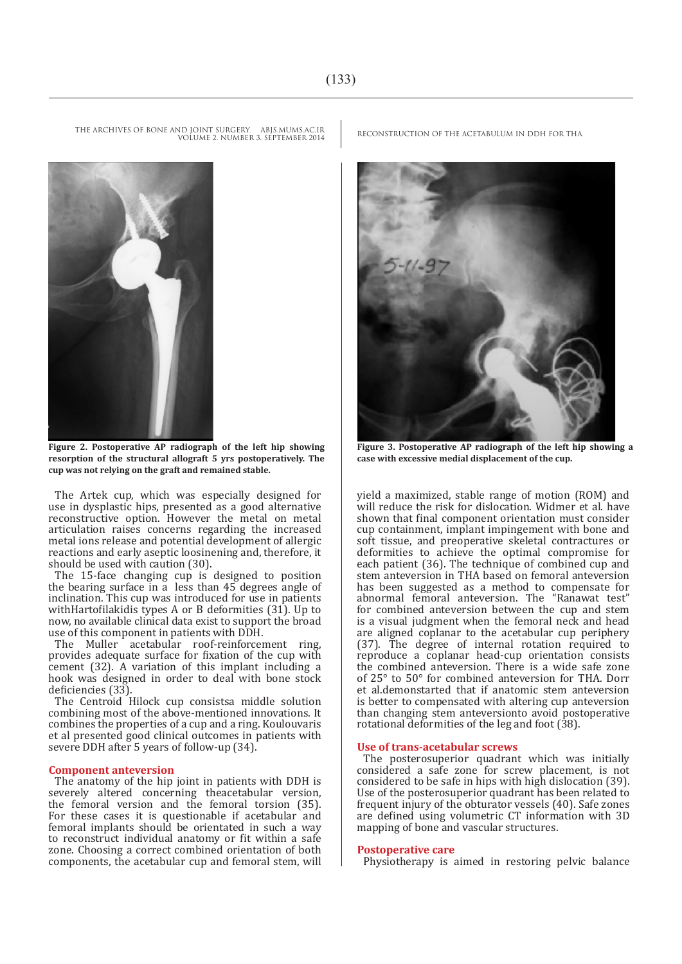

**Figure 2. Postoperative AP radiograph of the left hip showing resorption of the structural allograft 5 yrs postoperatively. The cup was not relying on the graft and remained stable.** 

The Artek cup, which was especially designed for use in dysplastic hips, presented as a good alternative reconstructive option. However the metal on metal articulation raises concerns regarding the increased metal ions release and potential development of allergic reactions and early aseptic loosinening and, therefore, it should be used with caution (30).

The 15-face changing cup is designed to position the bearing surface in a less than 45 degrees angle of inclination. This cup was introduced for use in patients withHartofilakidis types A or B deformities (31). Up to now, no available clinical data exist to support the broad use of this component in patients with DDH.

The Muller acetabular roof-reinforcement ring, provides adequate surface for fixation of the cup with cement (32). A variation of this implant including a hook was designed in order to deal with bone stock deficiencies (33).

The Centroid Hilock cup consistsa middle solution combining most of the above-mentioned innovations. It combines the properties of a cup and a ring. Koulouvaris et al presented good clinical outcomes in patients with severe DDH after 5 years of follow-up (34).

#### **Component anteversion**

The anatomy of the hip joint in patients with DDH is severely altered concerning theacetabular version, the femoral version and the femoral torsion (35). For these cases it is questionable if acetabular and femoral implants should be orientated in such a way to reconstruct individual anatomy or fit within a safe zone. Choosing a correct combined orientation of both components, the acetabular cup and femoral stem, will



**Figure 3. Postoperative AP radiograph of the left hip showing a case with excessive medial displacement of the cup.** 

yield a maximized, stable range of motion (ROM) and will reduce the risk for dislocation. Widmer et al. have shown that final component orientation must consider cup containment, implant impingement with bone and soft tissue, and preoperative skeletal contractures or deformities to achieve the optimal compromise for each patient (36). The technique of combined cup and stem anteversion in THA based on femoral anteversion has been suggested as a method to compensate for abnormal femoral anteversion. The "Ranawat test" for combined anteversion between the cup and stem is a visual judgment when the femoral neck and head are aligned coplanar to the acetabular cup periphery (37). The degree of internal rotation required to reproduce a coplanar head-cup orientation consists the combined anteversion. There is a wide safe zone of 25° to 50° for combined anteversion for THA. Dorr et al.demonstarted that if anatomic stem anteversion is better to compensated with altering cup anteversion than changing stem anteversionto avoid postoperative rotational deformities of the leg and foot (38).

#### **Use of trans-acetabular screws**

The posterosuperior quadrant which was initially considered a safe zone for screw placement, is not considered to be safe in hips with high dislocation (39). Use of the posterosuperior quadrant has been related to frequent injury of the obturator vessels (40). Safe zones are defined using volumetric CT information with 3D mapping of bone and vascular structures.

#### **Postoperative care**

Physiotherapy is aimed in restoring pelvic balance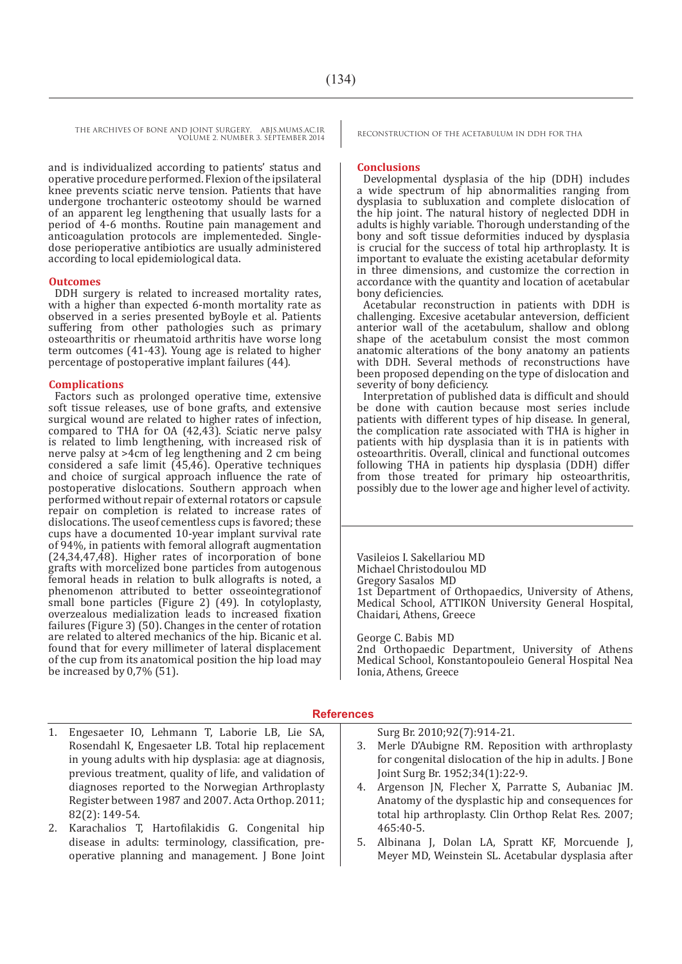and is individualized according to patients' status and operative procedure performed. Flexion of the ipsilateral knee prevents sciatic nerve tension. Patients that have undergone trochanteric osteotomy should be warned of an apparent leg lengthening that usually lasts for a period of 4-6 months. Routine pain management and anticoagulation protocols are implementeded. Singledose perioperative antibiotics are usually administered according to local epidemiological data.

#### **Outcomes**

DDH surgery is related to increased mortality rates, with a higher than expected 6-month mortality rate as observed in a series presented byBoyle et al. Patients suffering from other pathologies such as primary osteoarthritis or rheumatoid arthritis have worse long term outcomes (41-43). Young age is related to higher percentage of postoperative implant failures (44).

#### **Complications**

Factors such as prolonged operative time, extensive soft tissue releases, use of bone grafts, and extensive surgical wound are related to higher rates of infection, compared to THA for OA (42,43). Sciatic nerve palsy is related to limb lengthening, with increased risk of nerve palsy at >4cm of leg lengthening and 2 cm being considered a safe limit (45,46). Operative techniques and choice of surgical approach influence the rate of postoperative dislocations. Southern approach when performed without repair of external rotators or capsule repair on completion is related to increase rates of dislocations. The useof cementless cups is favored; these cups have a documented 10-year implant survival rate of 94%, in patients with femoral allograft augmentation (24,34,47,48). Higher rates of incorporation of bone grafts with morcelized bone particles from autogenous femoral heads in relation to bulk allografts is noted, a phenomenon attributed to better osseointegrationof small bone particles (Figure 2) (49). In cotyloplasty, overzealous medialization leads to increased fixation failures (Figure 3) (50). Changes in the center of rotation are related to altered mechanics of the hip. Bicanic et al. found that for every millimeter of lateral displacement of the cup from its anatomical position the hip load may be increased by 0.7% (51).

#### **Conclusions**

Developmental dysplasia of the hip (DDH) includes a wide spectrum of hip abnormalities ranging from dysplasia to subluxation and complete dislocation of the hip joint. The natural history of neglected DDH in adults is highly variable. Thorough understanding of the bony and soft tissue deformities induced by dysplasia is crucial for the success of total hip arthroplasty. It is important to evaluate the existing acetabular deformity in three dimensions, and customize the correction in accordance with the quantity and location of acetabular bony deficiencies.

Acetabular reconstruction in patients with DDH is challenging. Excesive acetabular anteversion, defficient anterior wall of the acetabulum, shallow and oblong shape of the acetabulum consist the most common anatomic alterations of the bony anatomy an patients with DDH. Several methods of reconstructions have been proposed depending on the type of dislocation and severity of bony deficiency.

Interpretation of published data is difficult and should be done with caution because most series include patients with different types of hip disease. In general, the complication rate associated with THA is higher in patients with hip dysplasia than it is in patients with osteoarthritis. Overall, clinical and functional outcomes following THA in patients hip dysplasia (DDH) differ from those treated for primary hip osteoarthritis, possibly due to the lower age and higher level of activity.

Vasileios I. Sakellariou MD Michael Christodoulou MD Gregory Sasalos MD 1st Department of Orthopaedics, University of Athens, Medical School, ATTIKON University General Hospital, Chaidari, Athens, Greece

George C. Babis MD

2nd Orthopaedic Department, University of Athens Medical School, Konstantopouleio General Hospital Nea Ionia, Athens, Greece

#### **References**

- 1. Engesaeter IO, Lehmann T, Laborie LB, Lie SA, Rosendahl K, Engesaeter LB. Total hip replacement in young adults with hip dysplasia: age at diagnosis, previous treatment, quality of life, and validation of diagnoses reported to the Norwegian Arthroplasty Register between 1987 and 2007. Acta Orthop. 2011; 82(2): 149-54.
- 2. Karachalios T, Hartofilakidis G. Congenital hip disease in adults: terminology, classification, preoperative planning and management. J Bone Joint

Surg Br. 2010;92(7):914-21.

- Merle D'Aubigne RM. Reposition with arthroplasty for congenital dislocation of the hip in adults. I Bone Joint Surg Br. 1952;34(1):22-9.
- 4. Argenson JN, Flecher X, Parratte S, Aubaniac JM. Anatomy of the dysplastic hip and consequences for total hip arthroplasty. Clin Orthop Relat Res. 2007; 465:40-5.
- 5. Albinana J, Dolan LA, Spratt KF, Morcuende J, Meyer MD, Weinstein SL. Acetabular dysplasia after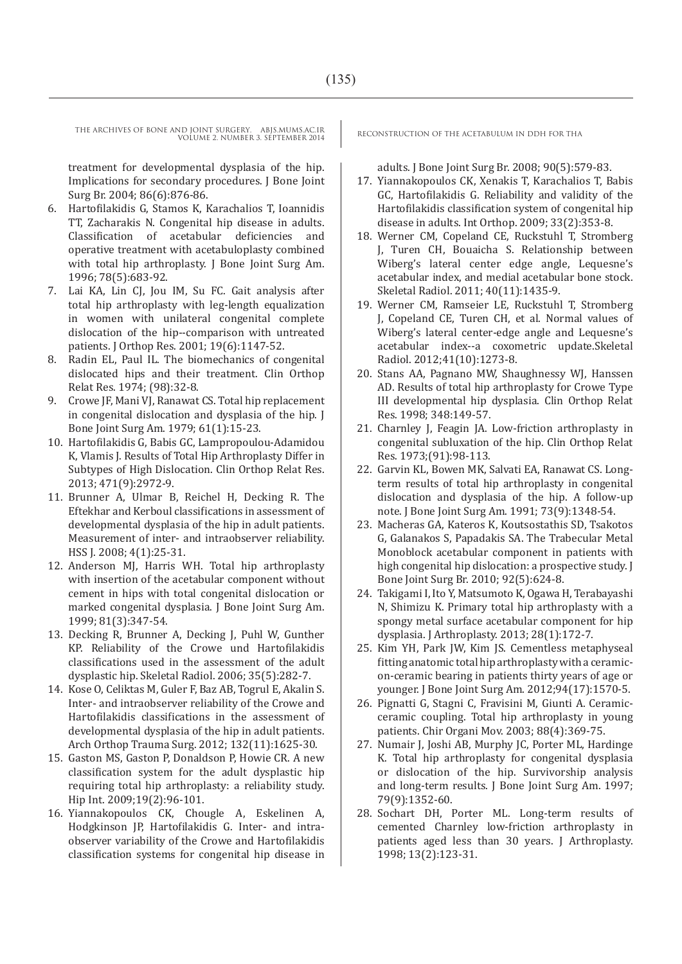treatment for developmental dysplasia of the hip. Implications for secondary procedures. J Bone Joint Surg Br. 2004; 86(6):876-86.

- 6. Hartofilakidis G, Stamos K, Karachalios T, Ioannidis TT, Zacharakis N. Congenital hip disease in adults. Classification of acetabular deficiencies and operative treatment with acetabuloplasty combined with total hip arthroplasty. J Bone Joint Surg Am. 1996; 78(5):683-92.
- 7. Lai KA, Lin CJ, Jou IM, Su FC. Gait analysis after total hip arthroplasty with leg-length equalization in women with unilateral congenital complete dislocation of the hip--comparison with untreated patients. J Orthop Res. 2001; 19(6):1147-52.
- 8. Radin EL, Paul IL. The biomechanics of congenital dislocated hips and their treatment. Clin Orthop Relat Res. 1974; (98):32-8.
- 9. Crowe JF, Mani VJ, Ranawat CS. Total hip replacement in congenital dislocation and dysplasia of the hip. J Bone Joint Surg Am. 1979; 61(1):15-23.
- 10. Hartofilakidis G, Babis GC, Lampropoulou-Adamidou K, Vlamis J. Results of Total Hip Arthroplasty Differ in Subtypes of High Dislocation. Clin Orthop Relat Res. 2013; 471(9):2972-9.
- 11. Brunner A, Ulmar B, Reichel H, Decking R. The Eftekhar and Kerboul classifications in assessment of developmental dysplasia of the hip in adult patients. Measurement of inter- and intraobserver reliability. HSS J. 2008; 4(1):25-31.
- 12. Anderson MJ, Harris WH. Total hip arthroplasty with insertion of the acetabular component without cement in hips with total congenital dislocation or marked congenital dysplasia. J Bone Joint Surg Am. 1999; 81(3):347-54.
- 13. Decking R, Brunner A, Decking J, Puhl W, Gunther KP. Reliability of the Crowe und Hartofilakidis classifications used in the assessment of the adult dysplastic hip. Skeletal Radiol. 2006; 35(5):282-7.
- 14. Kose O, Celiktas M, Guler F, Baz AB, Togrul E, Akalin S. Inter- and intraobserver reliability of the Crowe and Hartofilakidis classifications in the assessment of developmental dysplasia of the hip in adult patients. Arch Orthop Trauma Surg. 2012; 132(11):1625-30.
- 15. Gaston MS, Gaston P, Donaldson P, Howie CR. A new classification system for the adult dysplastic hip requiring total hip arthroplasty: a reliability study. Hip Int. 2009;19(2):96-101.
- 16. Yiannakopoulos CK, Chougle A, Eskelinen A, Hodgkinson JP, Hartofilakidis G. Inter- and intraobserver variability of the Crowe and Hartofilakidis classification systems for congenital hip disease in

adults. J Bone Joint Surg Br. 2008; 90(5):579-83.

- 17. Yiannakopoulos CK, Xenakis T, Karachalios T, Babis GC, Hartofilakidis G. Reliability and validity of the Hartofilakidis classification system of congenital hip disease in adults. Int Orthop. 2009; 33(2):353-8.
- 18. Werner CM, Copeland CE, Ruckstuhl T, Stromberg J, Turen CH, Bouaicha S. Relationship between Wiberg's lateral center edge angle, Lequesne's acetabular index, and medial acetabular bone stock. Skeletal Radiol. 2011; 40(11):1435-9.
- 19. Werner CM, Ramseier LE, Ruckstuhl T, Stromberg J, Copeland CE, Turen CH, et al. Normal values of Wiberg's lateral center-edge angle and Lequesne's acetabular index--a coxometric update.Skeletal Radiol. 2012;41(10):1273-8.
- 20. Stans AA, Pagnano MW, Shaughnessy WJ, Hanssen AD. Results of total hip arthroplasty for Crowe Type III developmental hip dysplasia. Clin Orthop Relat Res. 1998; 348:149-57.
- 21. Charnley J, Feagin JA. Low-friction arthroplasty in congenital subluxation of the hip. Clin Orthop Relat Res. 1973;(91):98-113.
- 22. Garvin KL, Bowen MK, Salvati EA, Ranawat CS. Longterm results of total hip arthroplasty in congenital dislocation and dysplasia of the hip. A follow-up note. J Bone Joint Surg Am. 1991; 73(9):1348-54.
- 23. Macheras GA, Kateros K, Koutsostathis SD, Tsakotos G, Galanakos S, Papadakis SA. The Trabecular Metal Monoblock acetabular component in patients with high congenital hip dislocation: a prospective study. J Bone Joint Surg Br. 2010; 92(5):624-8.
- 24. Takigami I, Ito Y, Matsumoto K, Ogawa H, Terabayashi N, Shimizu K. Primary total hip arthroplasty with a spongy metal surface acetabular component for hip dysplasia. J Arthroplasty. 2013; 28(1):172-7.
- 25. Kim YH, Park JW, Kim JS. Cementless metaphyseal fitting anatomic total hip arthroplasty with a ceramicon-ceramic bearing in patients thirty years of age or younger. J Bone Joint Surg Am. 2012;94(17):1570-5.
- 26. Pignatti G, Stagni C, Fravisini M, Giunti A. Ceramicceramic coupling. Total hip arthroplasty in young patients. Chir Organi Mov. 2003; 88(4):369-75.
- 27. Numair J, Joshi AB, Murphy JC, Porter ML, Hardinge K. Total hip arthroplasty for congenital dysplasia or dislocation of the hip. Survivorship analysis and long-term results. J Bone Joint Surg Am. 1997; 79(9):1352-60.
- 28. Sochart DH, Porter ML. Long-term results of cemented Charnley low-friction arthroplasty in patients aged less than 30 years. J Arthroplasty. 1998; 13(2):123-31.